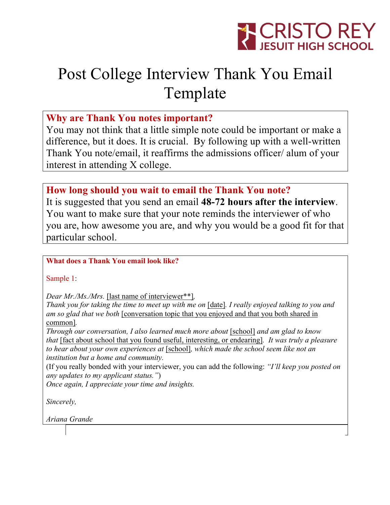

# Post College Interview Thank You Email Template

## **Why are Thank You notes important?**

You may not think that a little simple note could be important or make a difference, but it does. It is crucial. By following up with a well-written Thank You note/email, it reaffirms the admissions officer/ alum of your interest in attending X college.

## **How long should you wait to email the Thank You note?**

It is suggested that you send an email **48-72 hours after the interview**. You want to make sure that your note reminds the interviewer of who you are, how awesome you are, and why you would be a good fit for that particular school.

#### **What does a Thank You email look like?**

Sample 1:

*Dear Mr./Ms./Mrs.* [last name of interviewer\*\*]*,*

*Thank you for taking the time to meet up with me on* [date]*. I really enjoyed talking to you and am so glad that we both* [conversation topic that you enjoyed and that you both shared in common]*.*

*Through our conversation, I also learned much more about* [school] *and am glad to know that* [fact about school that you found useful, interesting, or endearing]*. It was truly a pleasure to hear about your own experiences at* [school]*, which made the school seem like not an institution but a home and community.*

(If you really bonded with your interviewer, you can add the following: *"I'll keep you posted on any updates to my applicant status."*)

*Once again, I appreciate your time and insights.*

*Sincerely,*

*Ariana Grande*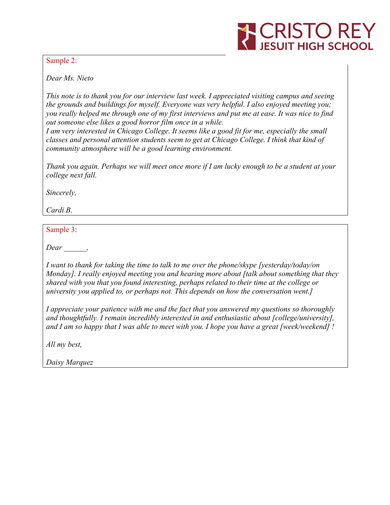

Sample 2:

*Dear Ms. Nieto*

*This note is to thank you for our interview last week. I appreciated visiting campus and seeing the grounds and buildings for myself. Everyone was very helpful. I also enjoyed meeting you;* you really helped me through one of my first interviews and put me at ease. It was nice to find *out someone else likes a good horror film once in a while.*

*I am very interested in Chicago College. It seems like a good fit for me, especially the small classes and personal attention students seem to get at Chicago College. I think that kind of community atmosphere will be a good learning environment.*

Thank you again. Perhaps we will meet once more if I am lucky enough to be a student at your *college next fall.*

*Sincerely,*

*Cardi B.*

Sample 3:

*Dear \_\_\_\_\_\_,*

*I want to thank for taking the time to talk to me over the phone/skype [yesterday/today/on Monday]. I really enjoyed meeting you and hearing more about [talk about something that they shared with you that you found interesting, perhaps related to their time at the college or university you applied to, or perhaps not. This depends on how the conversation went.]*

*I appreciate your patience with me and the fact that you answered my questions so thoroughly and thoughtfully. I remain incredibly interested in and enthusiastic about [college/university], and I am so happy that I was able to meet with you. I hope you have a great [week/weekend] !*

*All my best,*

*Daisy Marquez*